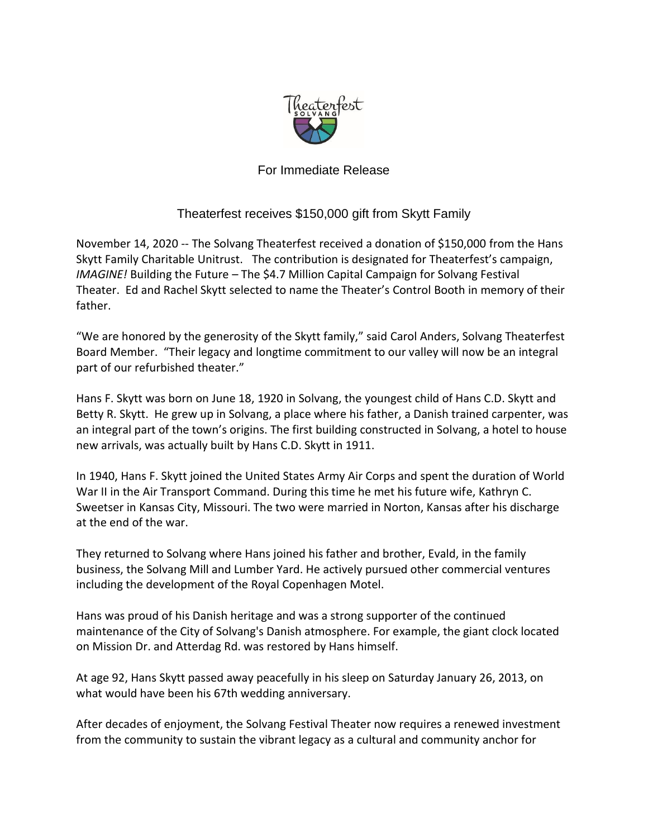

## For Immediate Release

## Theaterfest receives \$150,000 gift from Skytt Family

November 14, 2020 -- The Solvang Theaterfest received a donation of \$150,000 from the Hans Skytt Family Charitable Unitrust. The contribution is designated for Theaterfest's campaign, *IMAGINE!* Building the Future – The \$4.7 Million Capital Campaign for Solvang Festival Theater. Ed and Rachel Skytt selected to name the Theater's Control Booth in memory of their father.

"We are honored by the generosity of the Skytt family," said Carol Anders, Solvang Theaterfest Board Member. "Their legacy and longtime commitment to our valley will now be an integral part of our refurbished theater."

Hans F. Skytt was born on June 18, 1920 in Solvang, the youngest child of Hans C.D. Skytt and Betty R. Skytt. He grew up in Solvang, a place where his father, a Danish trained carpenter, was an integral part of the town's origins. The first building constructed in Solvang, a hotel to house new arrivals, was actually built by Hans C.D. Skytt in 1911.

In 1940, Hans F. Skytt joined the United States Army Air Corps and spent the duration of World War II in the Air Transport Command. During this time he met his future wife, Kathryn C. Sweetser in Kansas City, Missouri. The two were married in Norton, Kansas after his discharge at the end of the war.

They returned to Solvang where Hans joined his father and brother, Evald, in the family business, the Solvang Mill and Lumber Yard. He actively pursued other commercial ventures including the development of the Royal Copenhagen Motel.

Hans was proud of his Danish heritage and was a strong supporter of the continued maintenance of the City of Solvang's Danish atmosphere. For example, the giant clock located on Mission Dr. and Atterdag Rd. was restored by Hans himself.

At age 92, Hans Skytt passed away peacefully in his sleep on Saturday January 26, 2013, on what would have been his 67th wedding anniversary.

After decades of enjoyment, the Solvang Festival Theater now requires a renewed investment from the community to sustain the vibrant legacy as a cultural and community anchor for